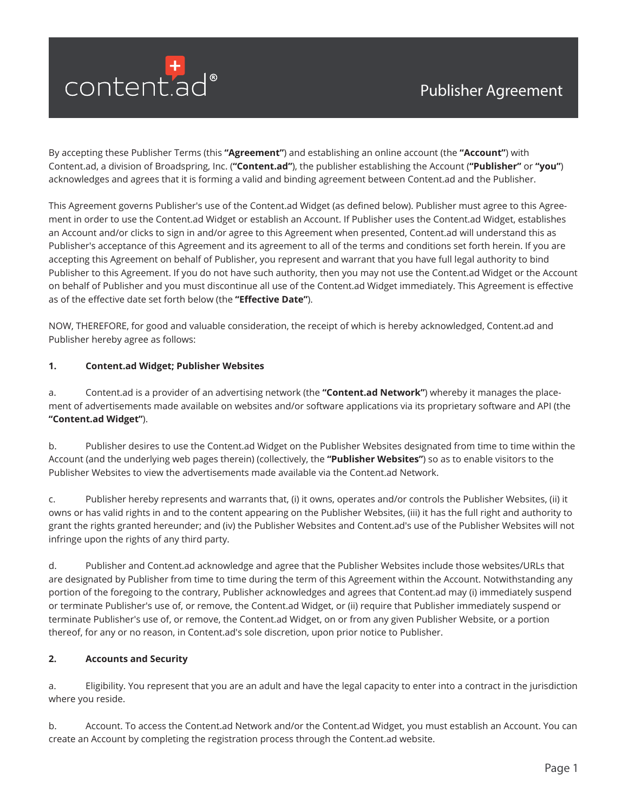

By accepting these Publisher Terms (this **"Agreement"**) and establishing an online account (the **"Account"**) with Content.ad, a division of Broadspring, Inc. (**"Content.ad"**), the publisher establishing the Account (**"Publisher"** or **"you"**) acknowledges and agrees that it is forming a valid and binding agreement between Content.ad and the Publisher.

This Agreement governs Publisher's use of the Content.ad Widget (as defined below). Publisher must agree to this Agreement in order to use the Content.ad Widget or establish an Account. If Publisher uses the Content.ad Widget, establishes an Account and/or clicks to sign in and/or agree to this Agreement when presented, Content.ad will understand this as Publisher's acceptance of this Agreement and its agreement to all of the terms and conditions set forth herein. If you are accepting this Agreement on behalf of Publisher, you represent and warrant that you have full legal authority to bind Publisher to this Agreement. If you do not have such authority, then you may not use the Content.ad Widget or the Account on behalf of Publisher and you must discontinue all use of the Content.ad Widget immediately. This Agreement is effective as of the effective date set forth below (the **"Effective Date"**).

NOW, THEREFORE, for good and valuable consideration, the receipt of which is hereby acknowledged, Content.ad and Publisher hereby agree as follows:

### **1. Content.ad Widget; Publisher Websites**

a. Content.ad is a provider of an advertising network (the **"Content.ad Network"**) whereby it manages the placement of advertisements made available on websites and/or software applications via its proprietary software and API (the **"Content.ad Widget"**).

b. Publisher desires to use the Content.ad Widget on the Publisher Websites designated from time to time within the Account (and the underlying web pages therein) (collectively, the **"Publisher Websites"**) so as to enable visitors to the Publisher Websites to view the advertisements made available via the Content.ad Network.

c. Publisher hereby represents and warrants that, (i) it owns, operates and/or controls the Publisher Websites, (ii) it owns or has valid rights in and to the content appearing on the Publisher Websites, (iii) it has the full right and authority to grant the rights granted hereunder; and (iv) the Publisher Websites and Content.ad's use of the Publisher Websites will not infringe upon the rights of any third party.

d. Publisher and Content.ad acknowledge and agree that the Publisher Websites include those websites/URLs that are designated by Publisher from time to time during the term of this Agreement within the Account. Notwithstanding any portion of the foregoing to the contrary, Publisher acknowledges and agrees that Content.ad may (i) immediately suspend or terminate Publisher's use of, or remove, the Content.ad Widget, or (ii) require that Publisher immediately suspend or terminate Publisher's use of, or remove, the Content.ad Widget, on or from any given Publisher Website, or a portion thereof, for any or no reason, in Content.ad's sole discretion, upon prior notice to Publisher.

### **2. Accounts and Security**

a. Eligibility. You represent that you are an adult and have the legal capacity to enter into a contract in the jurisdiction where you reside.

b. Account. To access the Content.ad Network and/or the Content.ad Widget, you must establish an Account. You can create an Account by completing the registration process through the Content.ad website.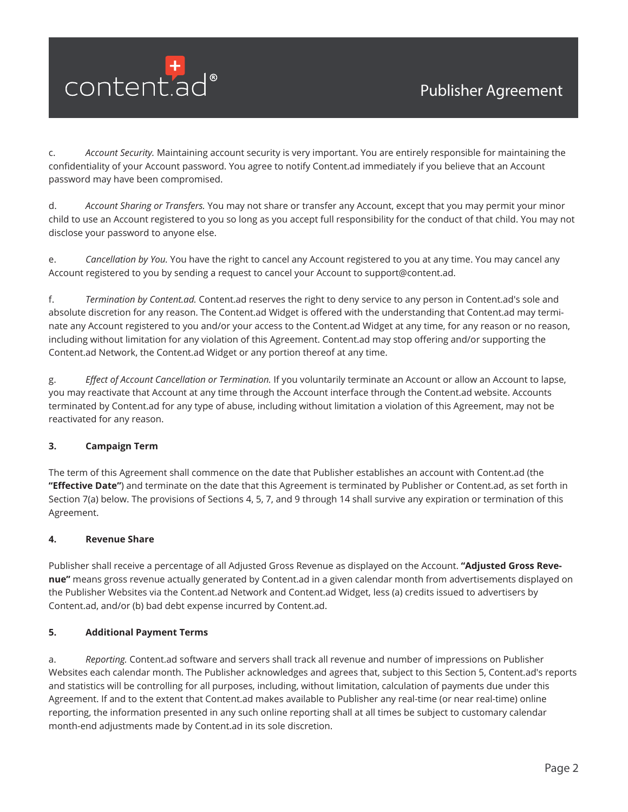

c. *Account Security.* Maintaining account security is very important. You are entirely responsible for maintaining the confidentiality of your Account password. You agree to notify Content.ad immediately if you believe that an Account password may have been compromised.

d. *Account Sharing or Transfers.* You may not share or transfer any Account, except that you may permit your minor child to use an Account registered to you so long as you accept full responsibility for the conduct of that child. You may not disclose your password to anyone else.

e. *Cancellation by You.* You have the right to cancel any Account registered to you at any time. You may cancel any Account registered to you by sending a request to cancel your Account to support@content.ad.

f. *Termination by Content.ad.* Content.ad reserves the right to deny service to any person in Content.ad's sole and absolute discretion for any reason. The Content.ad Widget is offered with the understanding that Content.ad may terminate any Account registered to you and/or your access to the Content.ad Widget at any time, for any reason or no reason, including without limitation for any violation of this Agreement. Content.ad may stop offering and/or supporting the Content.ad Network, the Content.ad Widget or any portion thereof at any time.

g. *Effect of Account Cancellation or Termination.* If you voluntarily terminate an Account or allow an Account to lapse, you may reactivate that Account at any time through the Account interface through the Content.ad website. Accounts terminated by Content.ad for any type of abuse, including without limitation a violation of this Agreement, may not be reactivated for any reason.

### **3. Campaign Term**

The term of this Agreement shall commence on the date that Publisher establishes an account with Content.ad (the **"Effective Date"**) and terminate on the date that this Agreement is terminated by Publisher or Content.ad, as set forth in Section 7(a) below. The provisions of Sections 4, 5, 7, and 9 through 14 shall survive any expiration or termination of this Agreement.

### **4. Revenue Share**

Publisher shall receive a percentage of all Adjusted Gross Revenue as displayed on the Account. **"Adjusted Gross Revenue"** means gross revenue actually generated by Content.ad in a given calendar month from advertisements displayed on the Publisher Websites via the Content.ad Network and Content.ad Widget, less (a) credits issued to advertisers by Content.ad, and/or (b) bad debt expense incurred by Content.ad.

### **5. Additional Payment Terms**

a. *Reporting.* Content.ad software and servers shall track all revenue and number of impressions on Publisher Websites each calendar month. The Publisher acknowledges and agrees that, subject to this Section 5, Content.ad's reports and statistics will be controlling for all purposes, including, without limitation, calculation of payments due under this Agreement. If and to the extent that Content.ad makes available to Publisher any real-time (or near real-time) online reporting, the information presented in any such online reporting shall at all times be subject to customary calendar month-end adjustments made by Content.ad in its sole discretion.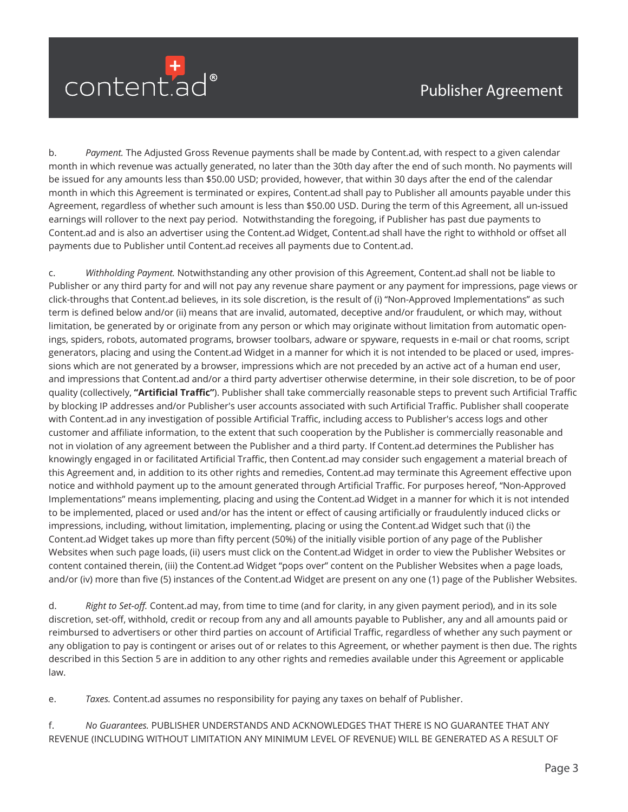

b. *Payment.* The Adjusted Gross Revenue payments shall be made by Content.ad, with respect to a given calendar month in which revenue was actually generated, no later than the 30th day after the end of such month. No payments will be issued for any amounts less than \$50.00 USD; provided, however, that within 30 days after the end of the calendar month in which this Agreement is terminated or expires, Content.ad shall pay to Publisher all amounts payable under this Agreement, regardless of whether such amount is less than \$50.00 USD. During the term of this Agreement, all un-issued earnings will rollover to the next pay period. Notwithstanding the foregoing, if Publisher has past due payments to Content.ad and is also an advertiser using the Content.ad Widget, Content.ad shall have the right to withhold or offset all payments due to Publisher until Content.ad receives all payments due to Content.ad.

c. *Withholding Payment.* Notwithstanding any other provision of this Agreement, Content.ad shall not be liable to Publisher or any third party for and will not pay any revenue share payment or any payment for impressions, page views or click-throughs that Content.ad believes, in its sole discretion, is the result of (i) "Non-Approved Implementations" as such term is defined below and/or (ii) means that are invalid, automated, deceptive and/or fraudulent, or which may, without limitation, be generated by or originate from any person or which may originate without limitation from automatic openings, spiders, robots, automated programs, browser toolbars, adware or spyware, requests in e-mail or chat rooms, script generators, placing and using the Content.ad Widget in a manner for which it is not intended to be placed or used, impressions which are not generated by a browser, impressions which are not preceded by an active act of a human end user, and impressions that Content.ad and/or a third party advertiser otherwise determine, in their sole discretion, to be of poor quality (collectively, **"Artificial Traffic"**). Publisher shall take commercially reasonable steps to prevent such Artificial Traffic by blocking IP addresses and/or Publisher's user accounts associated with such Artificial Traffic. Publisher shall cooperate with Content.ad in any investigation of possible Artificial Traffic, including access to Publisher's access logs and other customer and affiliate information, to the extent that such cooperation by the Publisher is commercially reasonable and not in violation of any agreement between the Publisher and a third party. If Content.ad determines the Publisher has knowingly engaged in or facilitated Artificial Traffic, then Content.ad may consider such engagement a material breach of this Agreement and, in addition to its other rights and remedies, Content.ad may terminate this Agreement effective upon notice and withhold payment up to the amount generated through Artificial Traffic. For purposes hereof, "Non-Approved Implementations" means implementing, placing and using the Content.ad Widget in a manner for which it is not intended to be implemented, placed or used and/or has the intent or effect of causing artificially or fraudulently induced clicks or impressions, including, without limitation, implementing, placing or using the Content.ad Widget such that (i) the Content.ad Widget takes up more than fifty percent (50%) of the initially visible portion of any page of the Publisher Websites when such page loads, (ii) users must click on the Content.ad Widget in order to view the Publisher Websites or content contained therein, (iii) the Content.ad Widget "pops over" content on the Publisher Websites when a page loads, and/or (iv) more than five (5) instances of the Content.ad Widget are present on any one (1) page of the Publisher Websites.

d. *Right to Set-off.* Content.ad may, from time to time (and for clarity, in any given payment period), and in its sole discretion, set-off, withhold, credit or recoup from any and all amounts payable to Publisher, any and all amounts paid or reimbursed to advertisers or other third parties on account of Artificial Traffic, regardless of whether any such payment or any obligation to pay is contingent or arises out of or relates to this Agreement, or whether payment is then due. The rights described in this Section 5 are in addition to any other rights and remedies available under this Agreement or applicable law.

e. *Taxes.* Content.ad assumes no responsibility for paying any taxes on behalf of Publisher.

f. *No Guarantees.* PUBLISHER UNDERSTANDS AND ACKNOWLEDGES THAT THERE IS NO GUARANTEE THAT ANY REVENUE (INCLUDING WITHOUT LIMITATION ANY MINIMUM LEVEL OF REVENUE) WILL BE GENERATED AS A RESULT OF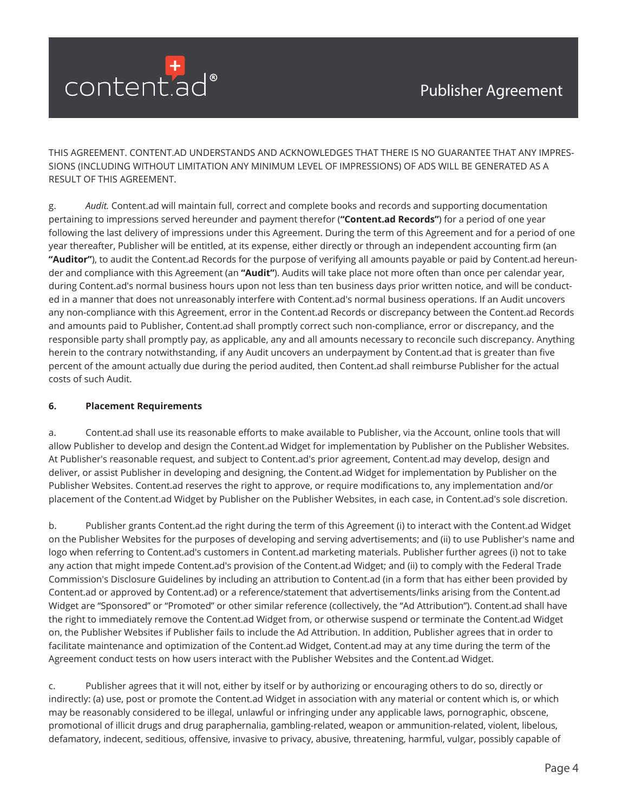

THIS AGREEMENT. CONTENT.AD UNDERSTANDS AND ACKNOWLEDGES THAT THERE IS NO GUARANTEE THAT ANY IMPRES-SIONS (INCLUDING WITHOUT LIMITATION ANY MINIMUM LEVEL OF IMPRESSIONS) OF ADS WILL BE GENERATED AS A RESULT OF THIS AGREEMENT.

g. *Audit.* Content.ad will maintain full, correct and complete books and records and supporting documentation pertaining to impressions served hereunder and payment therefor (**"Content.ad Records"**) for a period of one year following the last delivery of impressions under this Agreement. During the term of this Agreement and for a period of one year thereafter, Publisher will be entitled, at its expense, either directly or through an independent accounting firm (an **"Auditor"**), to audit the Content.ad Records for the purpose of verifying all amounts payable or paid by Content.ad hereunder and compliance with this Agreement (an **"Audit"**). Audits will take place not more often than once per calendar year, during Content.ad's normal business hours upon not less than ten business days prior written notice, and will be conducted in a manner that does not unreasonably interfere with Content.ad's normal business operations. If an Audit uncovers any non-compliance with this Agreement, error in the Content.ad Records or discrepancy between the Content.ad Records and amounts paid to Publisher, Content.ad shall promptly correct such non-compliance, error or discrepancy, and the responsible party shall promptly pay, as applicable, any and all amounts necessary to reconcile such discrepancy. Anything herein to the contrary notwithstanding, if any Audit uncovers an underpayment by Content.ad that is greater than five percent of the amount actually due during the period audited, then Content.ad shall reimburse Publisher for the actual costs of such Audit.

### **6. Placement Requirements**

a. Content.ad shall use its reasonable efforts to make available to Publisher, via the Account, online tools that will allow Publisher to develop and design the Content.ad Widget for implementation by Publisher on the Publisher Websites. At Publisher's reasonable request, and subject to Content.ad's prior agreement, Content.ad may develop, design and deliver, or assist Publisher in developing and designing, the Content.ad Widget for implementation by Publisher on the Publisher Websites. Content.ad reserves the right to approve, or require modifications to, any implementation and/or placement of the Content.ad Widget by Publisher on the Publisher Websites, in each case, in Content.ad's sole discretion.

b. Publisher grants Content.ad the right during the term of this Agreement (i) to interact with the Content.ad Widget on the Publisher Websites for the purposes of developing and serving advertisements; and (ii) to use Publisher's name and logo when referring to Content.ad's customers in Content.ad marketing materials. Publisher further agrees (i) not to take any action that might impede Content.ad's provision of the Content.ad Widget; and (ii) to comply with the Federal Trade Commission's Disclosure Guidelines by including an attribution to Content.ad (in a form that has either been provided by Content.ad or approved by Content.ad) or a reference/statement that advertisements/links arising from the Content.ad Widget are "Sponsored" or "Promoted" or other similar reference (collectively, the "Ad Attribution"). Content.ad shall have the right to immediately remove the Content.ad Widget from, or otherwise suspend or terminate the Content.ad Widget on, the Publisher Websites if Publisher fails to include the Ad Attribution. In addition, Publisher agrees that in order to facilitate maintenance and optimization of the Content.ad Widget, Content.ad may at any time during the term of the Agreement conduct tests on how users interact with the Publisher Websites and the Content.ad Widget.

c. Publisher agrees that it will not, either by itself or by authorizing or encouraging others to do so, directly or indirectly: (a) use, post or promote the Content.ad Widget in association with any material or content which is, or which may be reasonably considered to be illegal, unlawful or infringing under any applicable laws, pornographic, obscene, promotional of illicit drugs and drug paraphernalia, gambling-related, weapon or ammunition-related, violent, libelous, defamatory, indecent, seditious, offensive, invasive to privacy, abusive, threatening, harmful, vulgar, possibly capable of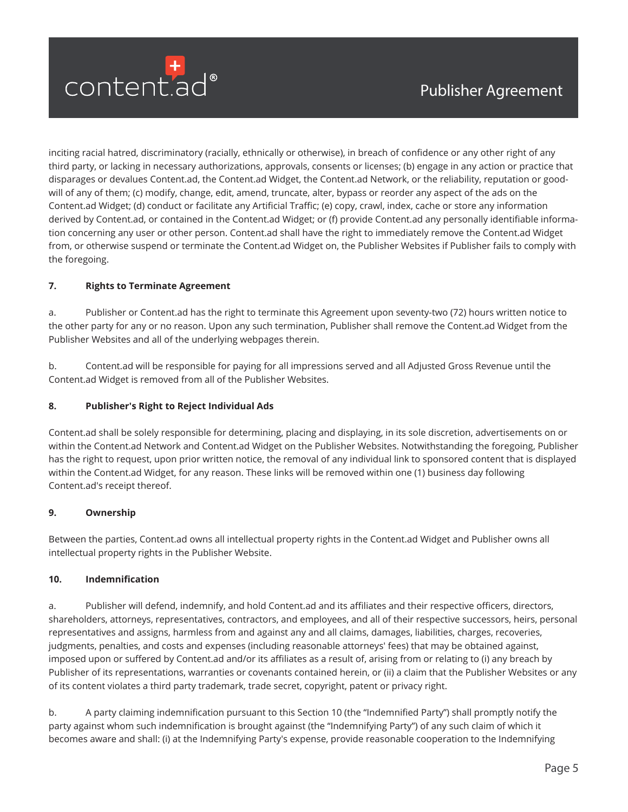

inciting racial hatred, discriminatory (racially, ethnically or otherwise), in breach of confidence or any other right of any third party, or lacking in necessary authorizations, approvals, consents or licenses; (b) engage in any action or practice that disparages or devalues Content.ad, the Content.ad Widget, the Content.ad Network, or the reliability, reputation or goodwill of any of them; (c) modify, change, edit, amend, truncate, alter, bypass or reorder any aspect of the ads on the Content.ad Widget; (d) conduct or facilitate any Artificial Traffic; (e) copy, crawl, index, cache or store any information derived by Content.ad, or contained in the Content.ad Widget; or (f) provide Content.ad any personally identifiable information concerning any user or other person. Content.ad shall have the right to immediately remove the Content.ad Widget from, or otherwise suspend or terminate the Content.ad Widget on, the Publisher Websites if Publisher fails to comply with the foregoing.

# **7. Rights to Terminate Agreement**

a. Publisher or Content.ad has the right to terminate this Agreement upon seventy-two (72) hours written notice to the other party for any or no reason. Upon any such termination, Publisher shall remove the Content.ad Widget from the Publisher Websites and all of the underlying webpages therein.

b. Content.ad will be responsible for paying for all impressions served and all Adjusted Gross Revenue until the Content.ad Widget is removed from all of the Publisher Websites.

# **8. Publisher's Right to Reject Individual Ads**

Content.ad shall be solely responsible for determining, placing and displaying, in its sole discretion, advertisements on or within the Content.ad Network and Content.ad Widget on the Publisher Websites. Notwithstanding the foregoing, Publisher has the right to request, upon prior written notice, the removal of any individual link to sponsored content that is displayed within the Content.ad Widget, for any reason. These links will be removed within one (1) business day following Content.ad's receipt thereof.

### **9. Ownership**

Between the parties, Content.ad owns all intellectual property rights in the Content.ad Widget and Publisher owns all intellectual property rights in the Publisher Website.

### **10. Indemnification**

a. Publisher will defend, indemnify, and hold Content.ad and its affiliates and their respective officers, directors, shareholders, attorneys, representatives, contractors, and employees, and all of their respective successors, heirs, personal representatives and assigns, harmless from and against any and all claims, damages, liabilities, charges, recoveries, judgments, penalties, and costs and expenses (including reasonable attorneys' fees) that may be obtained against, imposed upon or suffered by Content.ad and/or its affiliates as a result of, arising from or relating to (i) any breach by Publisher of its representations, warranties or covenants contained herein, or (ii) a claim that the Publisher Websites or any of its content violates a third party trademark, trade secret, copyright, patent or privacy right.

b. A party claiming indemnification pursuant to this Section 10 (the "Indemnified Party") shall promptly notify the party against whom such indemnification is brought against (the "Indemnifying Party") of any such claim of which it becomes aware and shall: (i) at the Indemnifying Party's expense, provide reasonable cooperation to the Indemnifying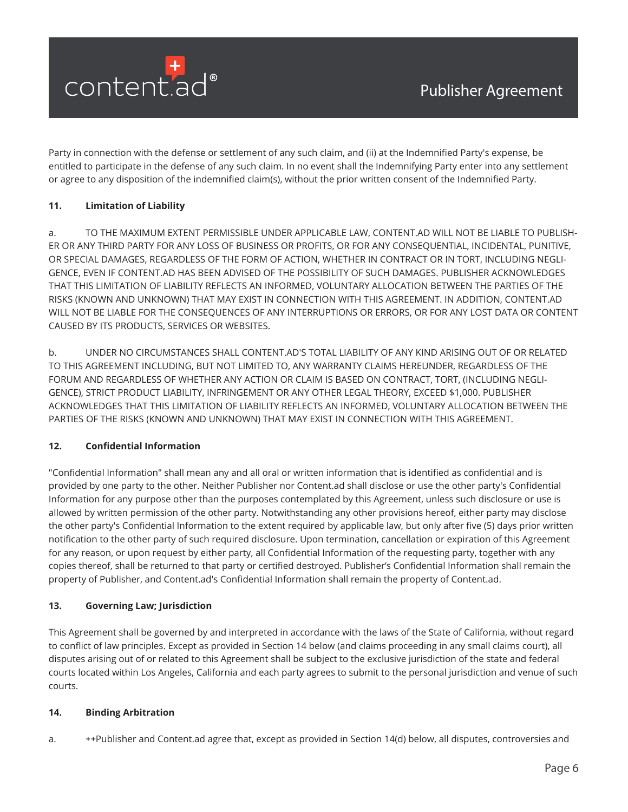

Party in connection with the defense or settlement of any such claim, and (ii) at the Indemnified Party's expense, be entitled to participate in the defense of any such claim. In no event shall the Indemnifying Party enter into any settlement or agree to any disposition of the indemnified claim(s), without the prior written consent of the Indemnified Party.

# **11. Limitation of Liability**

a. TO THE MAXIMUM EXTENT PERMISSIBLE UNDER APPLICABLE LAW, CONTENT.AD WILL NOT BE LIABLE TO PUBLISH-ER OR ANY THIRD PARTY FOR ANY LOSS OF BUSINESS OR PROFITS, OR FOR ANY CONSEQUENTIAL, INCIDENTAL, PUNITIVE, OR SPECIAL DAMAGES, REGARDLESS OF THE FORM OF ACTION, WHETHER IN CONTRACT OR IN TORT, INCLUDING NEGLI-GENCE, EVEN IF CONTENT.AD HAS BEEN ADVISED OF THE POSSIBILITY OF SUCH DAMAGES. PUBLISHER ACKNOWLEDGES THAT THIS LIMITATION OF LIABILITY REFLECTS AN INFORMED, VOLUNTARY ALLOCATION BETWEEN THE PARTIES OF THE RISKS (KNOWN AND UNKNOWN) THAT MAY EXIST IN CONNECTION WITH THIS AGREEMENT. IN ADDITION, CONTENT.AD WILL NOT BE LIABLE FOR THE CONSEQUENCES OF ANY INTERRUPTIONS OR ERRORS, OR FOR ANY LOST DATA OR CONTENT CAUSED BY ITS PRODUCTS, SERVICES OR WEBSITES.

b. UNDER NO CIRCUMSTANCES SHALL CONTENT.AD'S TOTAL LIABILITY OF ANY KIND ARISING OUT OF OR RELATED TO THIS AGREEMENT INCLUDING, BUT NOT LIMITED TO, ANY WARRANTY CLAIMS HEREUNDER, REGARDLESS OF THE FORUM AND REGARDLESS OF WHETHER ANY ACTION OR CLAIM IS BASED ON CONTRACT, TORT, (INCLUDING NEGLI-GENCE), STRICT PRODUCT LIABILITY, INFRINGEMENT OR ANY OTHER LEGAL THEORY, EXCEED \$1,000. PUBLISHER ACKNOWLEDGES THAT THIS LIMITATION OF LIABILITY REFLECTS AN INFORMED, VOLUNTARY ALLOCATION BETWEEN THE PARTIES OF THE RISKS (KNOWN AND UNKNOWN) THAT MAY EXIST IN CONNECTION WITH THIS AGREEMENT.

### **12. Confidential Information**

"Confidential Information" shall mean any and all oral or written information that is identified as confidential and is provided by one party to the other. Neither Publisher nor Content.ad shall disclose or use the other party's Confidential Information for any purpose other than the purposes contemplated by this Agreement, unless such disclosure or use is allowed by written permission of the other party. Notwithstanding any other provisions hereof, either party may disclose the other party's Confidential Information to the extent required by applicable law, but only after five (5) days prior written notification to the other party of such required disclosure. Upon termination, cancellation or expiration of this Agreement for any reason, or upon request by either party, all Confidential Information of the requesting party, together with any copies thereof, shall be returned to that party or certified destroyed. Publisher's Confidential Information shall remain the property of Publisher, and Content.ad's Confidential Information shall remain the property of Content.ad.

### **13. Governing Law; Jurisdiction**

This Agreement shall be governed by and interpreted in accordance with the laws of the State of California, without regard to conflict of law principles. Except as provided in Section 14 below (and claims proceeding in any small claims court), all disputes arising out of or related to this Agreement shall be subject to the exclusive jurisdiction of the state and federal courts located within Los Angeles, California and each party agrees to submit to the personal jurisdiction and venue of such courts.

### **14. Binding Arbitration**

a. *++*Publisher and Content.ad agree that, except as provided in Section 14(d) below, all disputes, controversies and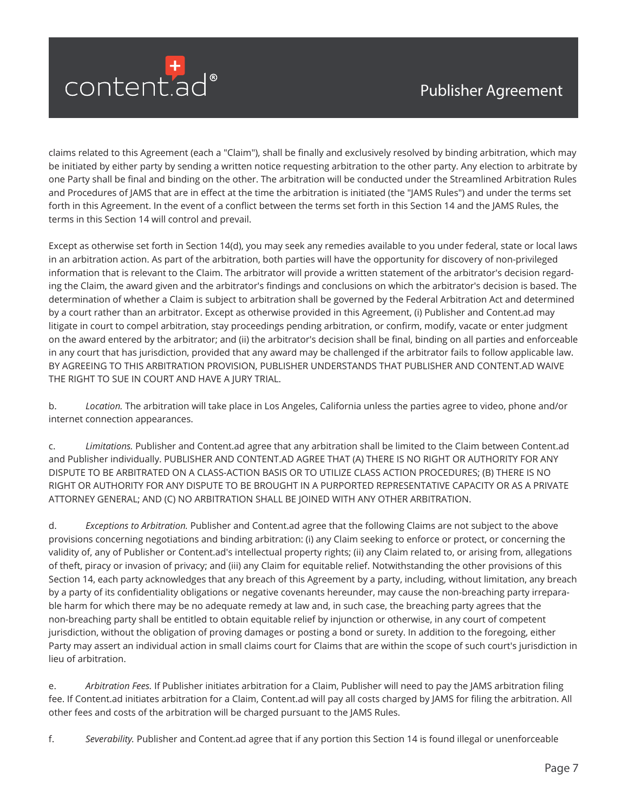

claims related to this Agreement (each a "Claim"), shall be finally and exclusively resolved by binding arbitration, which may be initiated by either party by sending a written notice requesting arbitration to the other party. Any election to arbitrate by one Party shall be final and binding on the other. The arbitration will be conducted under the Streamlined Arbitration Rules and Procedures of JAMS that are in effect at the time the arbitration is initiated (the "JAMS Rules") and under the terms set forth in this Agreement. In the event of a conflict between the terms set forth in this Section 14 and the JAMS Rules, the terms in this Section 14 will control and prevail.

Except as otherwise set forth in Section 14(d), you may seek any remedies available to you under federal, state or local laws in an arbitration action. As part of the arbitration, both parties will have the opportunity for discovery of non-privileged information that is relevant to the Claim. The arbitrator will provide a written statement of the arbitrator's decision regarding the Claim, the award given and the arbitrator's findings and conclusions on which the arbitrator's decision is based. The determination of whether a Claim is subject to arbitration shall be governed by the Federal Arbitration Act and determined by a court rather than an arbitrator. Except as otherwise provided in this Agreement, (i) Publisher and Content.ad may litigate in court to compel arbitration, stay proceedings pending arbitration, or confirm, modify, vacate or enter judgment on the award entered by the arbitrator; and (ii) the arbitrator's decision shall be final, binding on all parties and enforceable in any court that has jurisdiction, provided that any award may be challenged if the arbitrator fails to follow applicable law. BY AGREEING TO THIS ARBITRATION PROVISION, PUBLISHER UNDERSTANDS THAT PUBLISHER AND CONTENT.AD WAIVE THE RIGHT TO SUE IN COURT AND HAVE A JURY TRIAL.

b. *Location.* The arbitration will take place in Los Angeles, California unless the parties agree to video, phone and/or internet connection appearances.

c. *Limitations.* Publisher and Content.ad agree that any arbitration shall be limited to the Claim between Content.ad and Publisher individually. PUBLISHER AND CONTENT.AD AGREE THAT (A) THERE IS NO RIGHT OR AUTHORITY FOR ANY DISPUTE TO BE ARBITRATED ON A CLASS-ACTION BASIS OR TO UTILIZE CLASS ACTION PROCEDURES; (B) THERE IS NO RIGHT OR AUTHORITY FOR ANY DISPUTE TO BE BROUGHT IN A PURPORTED REPRESENTATIVE CAPACITY OR AS A PRIVATE ATTORNEY GENERAL; AND (C) NO ARBITRATION SHALL BE JOINED WITH ANY OTHER ARBITRATION.

d. *Exceptions to Arbitration.* Publisher and Content.ad agree that the following Claims are not subject to the above provisions concerning negotiations and binding arbitration: (i) any Claim seeking to enforce or protect, or concerning the validity of, any of Publisher or Content.ad's intellectual property rights; (ii) any Claim related to, or arising from, allegations of theft, piracy or invasion of privacy; and (iii) any Claim for equitable relief. Notwithstanding the other provisions of this Section 14, each party acknowledges that any breach of this Agreement by a party, including, without limitation, any breach by a party of its confidentiality obligations or negative covenants hereunder, may cause the non-breaching party irreparable harm for which there may be no adequate remedy at law and, in such case, the breaching party agrees that the non-breaching party shall be entitled to obtain equitable relief by injunction or otherwise, in any court of competent jurisdiction, without the obligation of proving damages or posting a bond or surety. In addition to the foregoing, either Party may assert an individual action in small claims court for Claims that are within the scope of such court's jurisdiction in lieu of arbitration.

e. *Arbitration Fees.* If Publisher initiates arbitration for a Claim, Publisher will need to pay the JAMS arbitration filing fee. If Content.ad initiates arbitration for a Claim, Content.ad will pay all costs charged by JAMS for filing the arbitration. All other fees and costs of the arbitration will be charged pursuant to the JAMS Rules.

f. *Severability.* Publisher and Content.ad agree that if any portion this Section 14 is found illegal or unenforceable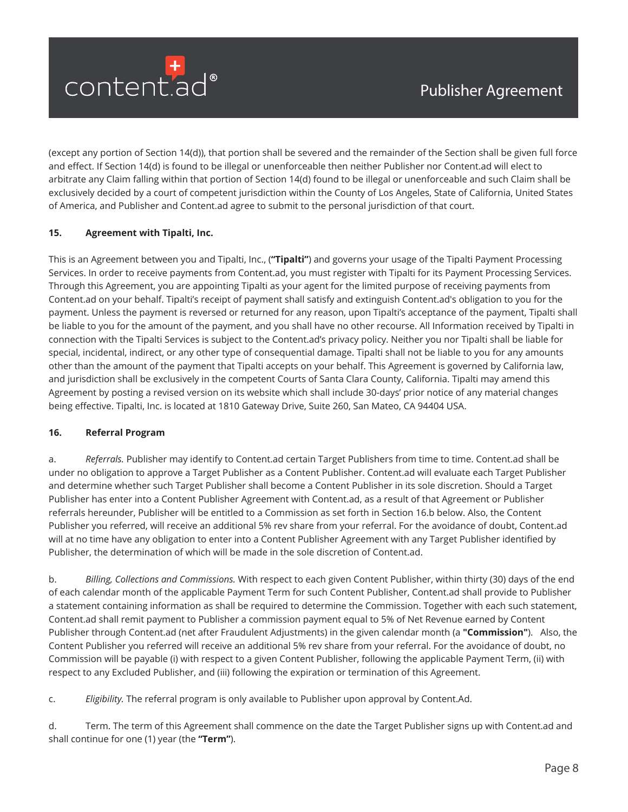

(except any portion of Section 14(d)), that portion shall be severed and the remainder of the Section shall be given full force and effect. If Section 14(d) is found to be illegal or unenforceable then neither Publisher nor Content.ad will elect to arbitrate any Claim falling within that portion of Section 14(d) found to be illegal or unenforceable and such Claim shall be exclusively decided by a court of competent jurisdiction within the County of Los Angeles, State of California, United States of America, and Publisher and Content.ad agree to submit to the personal jurisdiction of that court.

# **15. Agreement with Tipalti, Inc.**

This is an Agreement between you and Tipalti, Inc., (**"Tipalti"**) and governs your usage of the Tipalti Payment Processing Services. In order to receive payments from Content.ad, you must register with Tipalti for its Payment Processing Services. Through this Agreement, you are appointing Tipalti as your agent for the limited purpose of receiving payments from Content.ad on your behalf. Tipalti's receipt of payment shall satisfy and extinguish Content.ad's obligation to you for the payment. Unless the payment is reversed or returned for any reason, upon Tipalti's acceptance of the payment, Tipalti shall be liable to you for the amount of the payment, and you shall have no other recourse. All Information received by Tipalti in connection with the Tipalti Services is subject to the Content.ad's privacy policy. Neither you nor Tipalti shall be liable for special, incidental, indirect, or any other type of consequential damage. Tipalti shall not be liable to you for any amounts other than the amount of the payment that Tipalti accepts on your behalf. This Agreement is governed by California law, and jurisdiction shall be exclusively in the competent Courts of Santa Clara County, California. Tipalti may amend this Agreement by posting a revised version on its website which shall include 30-days' prior notice of any material changes being effective. Tipalti, Inc. is located at 1810 Gateway Drive, Suite 260, San Mateo, CA 94404 USA.

### **16. Referral Program**

a. *Referrals.* Publisher may identify to Content.ad certain Target Publishers from time to time. Content.ad shall be under no obligation to approve a Target Publisher as a Content Publisher. Content.ad will evaluate each Target Publisher and determine whether such Target Publisher shall become a Content Publisher in its sole discretion. Should a Target Publisher has enter into a Content Publisher Agreement with Content.ad, as a result of that Agreement or Publisher referrals hereunder, Publisher will be entitled to a Commission as set forth in Section 16.b below. Also, the Content Publisher you referred, will receive an additional 5% rev share from your referral. For the avoidance of doubt, Content.ad will at no time have any obligation to enter into a Content Publisher Agreement with any Target Publisher identified by Publisher, the determination of which will be made in the sole discretion of Content.ad.

b. *Billing, Collections and Commissions.* With respect to each given Content Publisher, within thirty (30) days of the end of each calendar month of the applicable Payment Term for such Content Publisher, Content.ad shall provide to Publisher a statement containing information as shall be required to determine the Commission. Together with each such statement, Content.ad shall remit payment to Publisher a commission payment equal to 5% of Net Revenue earned by Content Publisher through Content.ad (net after Fraudulent Adjustments) in the given calendar month (a **"Commission"**). Also, the Content Publisher you referred will receive an additional 5% rev share from your referral. For the avoidance of doubt, no Commission will be payable (i) with respect to a given Content Publisher, following the applicable Payment Term, (ii) with respect to any Excluded Publisher, and (iii) following the expiration or termination of this Agreement.

c. *Eligibility.* The referral program is only available to Publisher upon approval by Content.Ad.

d. Term. The term of this Agreement shall commence on the date the Target Publisher signs up with Content.ad and shall continue for one (1) year (the **"Term"**).